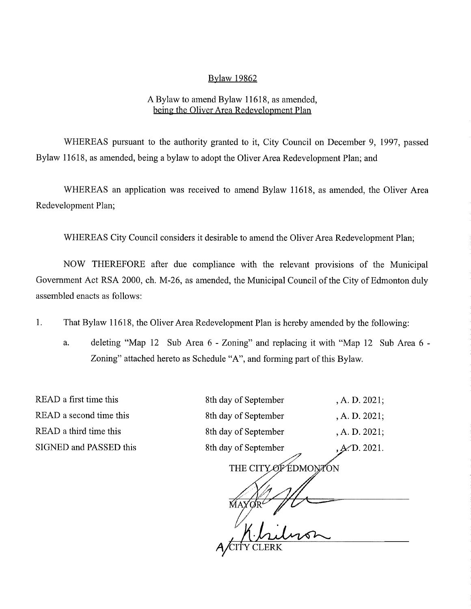## Bylaw 19862

## A Bylaw to amend Bylaw 11618, as amended, being the Oliver Area Redevelopment Plan

WHEREAS pursuant to the authority granted to it, City Council on December 9, 1997, passed Bylaw 11618, as amended, being a bylaw to adopt the Oliver Area Redevelopment Plan; and

WHEREAS an application was received to amend Bylaw 11618, as amended, the Oliver Area Redevelopment Plan;

WHEREAS City Council considers it desirable to amend the Oliver Area Redevelopment Plan;

NOW THEREFORE after due compliance with the relevant provisions of the Municipal Government Act RSA 2000, ch. M-26, as amended, the Municipal Council of the City of Edmonton duly assembled enacts as follows:

1. That Bylaw 11618, the Oliver Area Redevelopment Plan is hereby amended by the following:

a. deleting "Map 12 Sub Area 6 - Zoning" and replacing it with "Map 12 Sub Area 6 - Zoning" attached hereto as Schedule "A", and forming part of this Bylaw.

READ a first time this READ a second time this READ a third time this SIGNED and PASSED this

| 8th day of September | , A. D. 2021; |
|----------------------|---------------|
| 8th day of September | , A. D. 2021; |
| 8th day of September | , A. D. 2021; |
| 8th day of September | , A/D. 2021.  |

THE CITY OF EDMONTON

 $\frac{1}{\frac{1}{100}}$   $\frac{1}{100}$   $\frac{1}{100}$   $\frac{1}{100}$   $\frac{1}{100}$   $\frac{1}{100}$   $\frac{1}{100}$   $\frac{1}{100}$   $\frac{1}{100}$   $\frac{1}{100}$   $\frac{1}{100}$   $\frac{1}{100}$   $\frac{1}{100}$   $\frac{1}{100}$   $\frac{1}{100}$   $\frac{1}{100}$   $\frac{1}{100}$   $\frac{1}{100}$  A/CITY CLERK